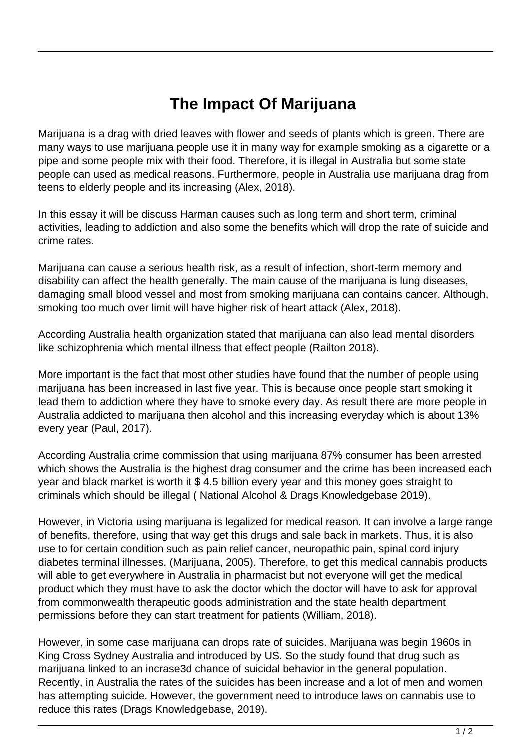## **The Impact Of Marijuana**

Marijuana is a drag with dried leaves with flower and seeds of plants which is green. There are many ways to use marijuana people use it in many way for example smoking as a cigarette or a pipe and some people mix with their food. Therefore, it is illegal in Australia but some state people can used as medical reasons. Furthermore, people in Australia use marijuana drag from teens to elderly people and its increasing (Alex, 2018).

In this essay it will be discuss Harman causes such as long term and short term, criminal activities, leading to addiction and also some the benefits which will drop the rate of suicide and crime rates.

Marijuana can cause a serious health risk, as a result of infection, short-term memory and disability can affect the health generally. The main cause of the marijuana is lung diseases, damaging small blood vessel and most from smoking marijuana can contains cancer. Although, smoking too much over limit will have higher risk of heart attack (Alex, 2018).

According Australia health organization stated that marijuana can also lead mental disorders like schizophrenia which mental illness that effect people (Railton 2018).

More important is the fact that most other studies have found that the number of people using marijuana has been increased in last five year. This is because once people start smoking it lead them to addiction where they have to smoke every day. As result there are more people in Australia addicted to marijuana then alcohol and this increasing everyday which is about 13% every year (Paul, 2017).

According Australia crime commission that using marijuana 87% consumer has been arrested which shows the Australia is the highest drag consumer and the crime has been increased each year and black market is worth it \$ 4.5 billion every year and this money goes straight to criminals which should be illegal ( National Alcohol & Drags Knowledgebase 2019).

However, in Victoria using marijuana is legalized for medical reason. It can involve a large range of benefits, therefore, using that way get this drugs and sale back in markets. Thus, it is also use to for certain condition such as pain relief cancer, neuropathic pain, spinal cord injury diabetes terminal illnesses. (Marijuana, 2005). Therefore, to get this medical cannabis products will able to get everywhere in Australia in pharmacist but not everyone will get the medical product which they must have to ask the doctor which the doctor will have to ask for approval from commonwealth therapeutic goods administration and the state health department permissions before they can start treatment for patients (William, 2018).

However, in some case marijuana can drops rate of suicides. Marijuana was begin 1960s in King Cross Sydney Australia and introduced by US. So the study found that drug such as marijuana linked to an incrase3d chance of suicidal behavior in the general population. Recently, in Australia the rates of the suicides has been increase and a lot of men and women has attempting suicide. However, the government need to introduce laws on cannabis use to reduce this rates (Drags Knowledgebase, 2019).